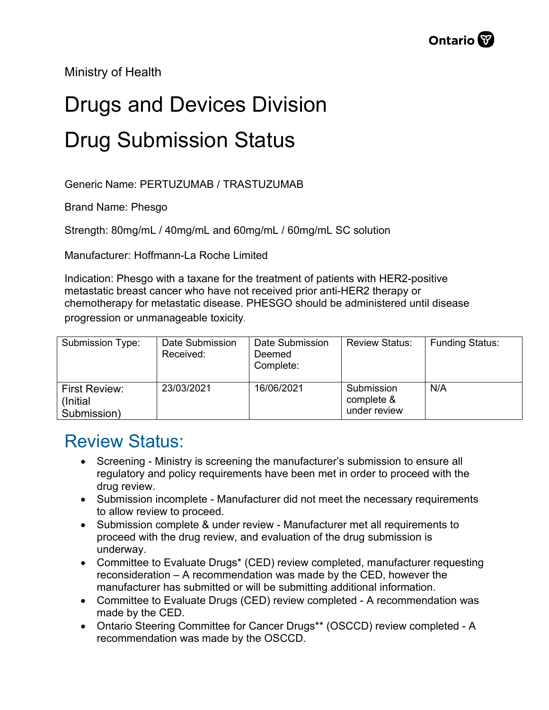Ministry of Health

## Drugs and Devices Division Drug Submission Status

Generic Name: PERTUZUMAB / TRASTUZUMAB

Brand Name: Phesgo

Strength: 80mg/mL / 40mg/mL and 60mg/mL / 60mg/mL SC solution

Manufacturer: Hoffmann-La Roche Limited

Indication: Phesgo with a taxane for the treatment of patients with HER2-positive metastatic breast cancer who have not received prior anti-HER2 therapy or chemotherapy for metastatic disease. PHESGO should be administered until disease progression or unmanageable toxicity.

| Submission Type:                                 | Date Submission<br>Received: | Date Submission<br>Deemed<br>Complete: | <b>Review Status:</b>                    | <b>Funding Status:</b> |
|--------------------------------------------------|------------------------------|----------------------------------------|------------------------------------------|------------------------|
| <b>First Review:</b><br>(Initial)<br>Submission) | 23/03/2021                   | 16/06/2021                             | Submission<br>complete &<br>under review | N/A                    |

## Review Status:

- Screening Ministry is screening the manufacturer's submission to ensure all regulatory and policy requirements have been met in order to proceed with the drug review.
- Submission incomplete Manufacturer did not meet the necessary requirements to allow review to proceed.
- Submission complete & under review Manufacturer met all requirements to proceed with the drug review, and evaluation of the drug submission is underway.
- Committee to Evaluate Drugs\* (CED) review completed, manufacturer requesting reconsideration – A recommendation was made by the CED, however the manufacturer has submitted or will be submitting additional information.
- Committee to Evaluate Drugs (CED) review completed A recommendation was made by the CED.
- Ontario Steering Committee for Cancer Drugs\*\* (OSCCD) review completed A recommendation was made by the OSCCD.